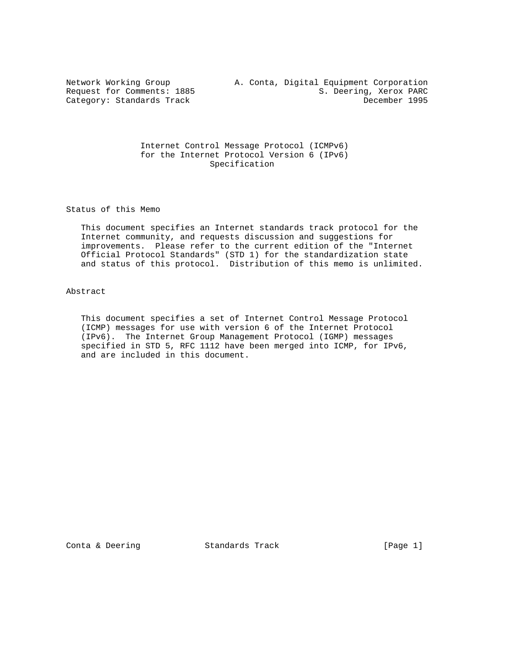## Internet Control Message Protocol (ICMPv6) for the Internet Protocol Version 6 (IPv6) Specification

Status of this Memo

 This document specifies an Internet standards track protocol for the Internet community, and requests discussion and suggestions for improvements. Please refer to the current edition of the "Internet Official Protocol Standards" (STD 1) for the standardization state and status of this protocol. Distribution of this memo is unlimited.

Abstract

 This document specifies a set of Internet Control Message Protocol (ICMP) messages for use with version 6 of the Internet Protocol (IPv6). The Internet Group Management Protocol (IGMP) messages specified in STD 5, RFC 1112 have been merged into ICMP, for IPv6, and are included in this document.

Conta & Deering Standards Track [Page 1]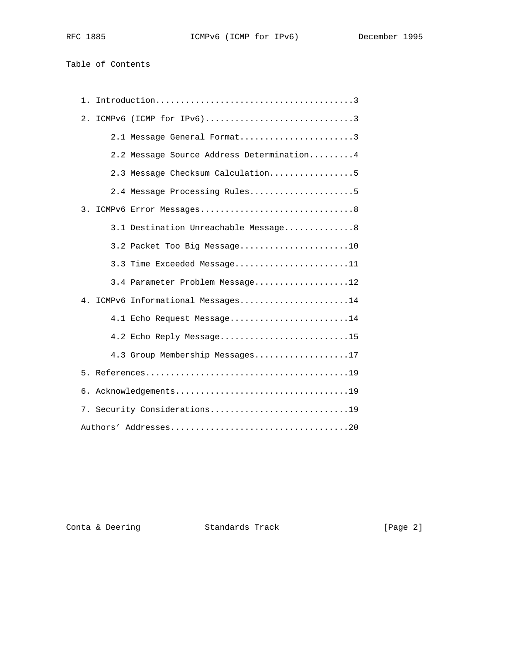Table of Contents

| 1. |                                           |
|----|-------------------------------------------|
| 2. | ICMPv6 (ICMP for IPv6)3                   |
|    | 2.1 Message General Format3               |
|    | 2.2 Message Source Address Determination4 |
|    | 2.3 Message Checksum Calculation5         |
|    | 2.4 Message Processing Rules5             |
|    |                                           |
|    | 3.1 Destination Unreachable Message8      |
|    | 3.2 Packet Too Big Message10              |
|    | 3.3 Time Exceeded Message11               |
|    | 3.4 Parameter Problem Message12           |
| 4. | ICMPv6 Informational Messages14           |
|    | 4.1 Echo Request Message14                |
|    | 4.2 Echo Reply Message15                  |
|    | 4.3 Group Membership Messages17           |
|    |                                           |
|    | 6. Acknowledgements19                     |
|    | 7. Security Considerations19              |
|    |                                           |

Conta & Deering **Standards Track** [Page 2]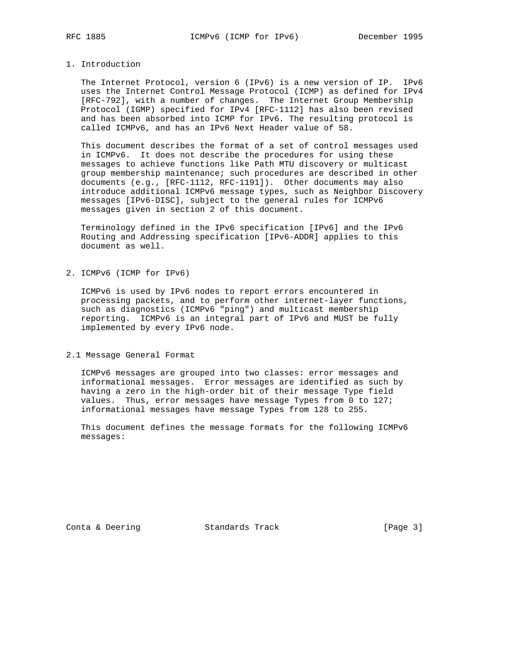### 1. Introduction

 The Internet Protocol, version 6 (IPv6) is a new version of IP. IPv6 uses the Internet Control Message Protocol (ICMP) as defined for IPv4 [RFC-792], with a number of changes. The Internet Group Membership Protocol (IGMP) specified for IPv4 [RFC-1112] has also been revised and has been absorbed into ICMP for IPv6. The resulting protocol is called ICMPv6, and has an IPv6 Next Header value of 58.

 This document describes the format of a set of control messages used in ICMPv6. It does not describe the procedures for using these messages to achieve functions like Path MTU discovery or multicast group membership maintenance; such procedures are described in other documents (e.g., [RFC-1112, RFC-1191]). Other documents may also introduce additional ICMPv6 message types, such as Neighbor Discovery messages [IPv6-DISC], subject to the general rules for ICMPv6 messages given in section 2 of this document.

 Terminology defined in the IPv6 specification [IPv6] and the IPv6 Routing and Addressing specification [IPv6-ADDR] applies to this document as well.

2. ICMPv6 (ICMP for IPv6)

 ICMPv6 is used by IPv6 nodes to report errors encountered in processing packets, and to perform other internet-layer functions, such as diagnostics (ICMPv6 "ping") and multicast membership reporting. ICMPv6 is an integral part of IPv6 and MUST be fully implemented by every IPv6 node.

2.1 Message General Format

 ICMPv6 messages are grouped into two classes: error messages and informational messages. Error messages are identified as such by having a zero in the high-order bit of their message Type field values. Thus, error messages have message Types from 0 to 127; informational messages have message Types from 128 to 255.

 This document defines the message formats for the following ICMPv6 messages:

Conta & Deering **Standards Track** [Page 3]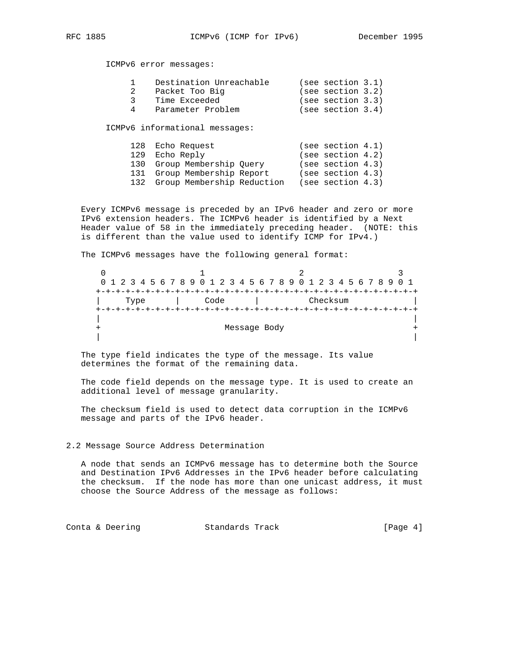ICMPv6 error messages:

|               | Destination Unreachable        | (see section 3.1) |  |
|---------------|--------------------------------|-------------------|--|
| 2             | Packet Too Big                 | (see section 3.2) |  |
| $\mathcal{E}$ | Time Exceeded                  | (see section 3.3) |  |
| 4             | Parameter Problem              | (see section 3.4) |  |
|               |                                |                   |  |
|               | ICMPv6 informational messages: |                   |  |

| 128 Echo Request               |  | (see section 4.1) |  |
|--------------------------------|--|-------------------|--|
| 129 Echo Reply                 |  | (see section 4.2) |  |
| 130 Group Membership Ouery     |  | (see section 4.3) |  |
| 131 Group Membership Report    |  | (see section 4.3) |  |
| 132 Group Membership Reduction |  | (see section 4.3) |  |
|                                |  |                   |  |

 Every ICMPv6 message is preceded by an IPv6 header and zero or more IPv6 extension headers. The ICMPv6 header is identified by a Next Header value of 58 in the immediately preceding header. (NOTE: this is different than the value used to identify ICMP for IPv4.)

The ICMPv6 messages have the following general format:

| 0 1 2 3 4 5 6 7 8 9 0 1 2 3 4 5 6 7 8 9 0 1 2 3 4 5 6 7 8 9 0 1 |      |  |  |  |      |                                   |  |  |  |  |  |          |  |  |  |  |
|-----------------------------------------------------------------|------|--|--|--|------|-----------------------------------|--|--|--|--|--|----------|--|--|--|--|
|                                                                 |      |  |  |  |      | --+-+-+-+-+-+-+-+-+-+-+-+-+-+-+-+ |  |  |  |  |  |          |  |  |  |  |
|                                                                 | Type |  |  |  | Code |                                   |  |  |  |  |  | Checksum |  |  |  |  |
|                                                                 |      |  |  |  |      |                                   |  |  |  |  |  |          |  |  |  |  |
|                                                                 |      |  |  |  |      |                                   |  |  |  |  |  |          |  |  |  |  |
|                                                                 |      |  |  |  |      | Message Body                      |  |  |  |  |  |          |  |  |  |  |
|                                                                 |      |  |  |  |      |                                   |  |  |  |  |  |          |  |  |  |  |

 The type field indicates the type of the message. Its value determines the format of the remaining data.

 The code field depends on the message type. It is used to create an additional level of message granularity.

 The checksum field is used to detect data corruption in the ICMPv6 message and parts of the IPv6 header.

### 2.2 Message Source Address Determination

 A node that sends an ICMPv6 message has to determine both the Source and Destination IPv6 Addresses in the IPv6 header before calculating the checksum. If the node has more than one unicast address, it must choose the Source Address of the message as follows:

Conta & Deering Standards Track [Page 4]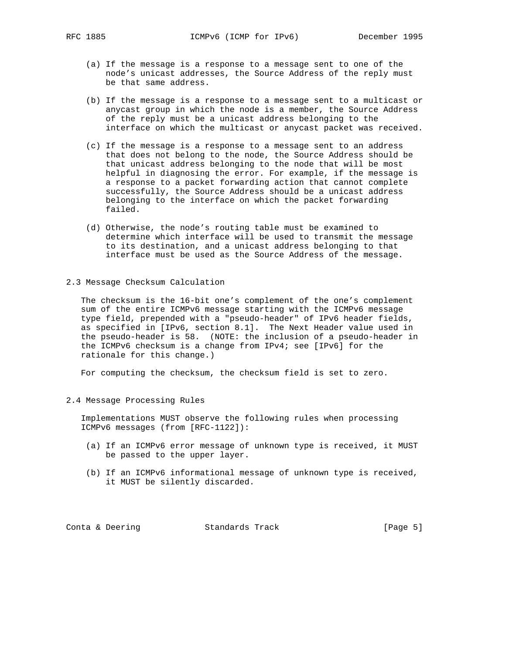- (a) If the message is a response to a message sent to one of the node's unicast addresses, the Source Address of the reply must be that same address.
- (b) If the message is a response to a message sent to a multicast or anycast group in which the node is a member, the Source Address of the reply must be a unicast address belonging to the interface on which the multicast or anycast packet was received.
- (c) If the message is a response to a message sent to an address that does not belong to the node, the Source Address should be that unicast address belonging to the node that will be most helpful in diagnosing the error. For example, if the message is a response to a packet forwarding action that cannot complete successfully, the Source Address should be a unicast address belonging to the interface on which the packet forwarding failed.
- (d) Otherwise, the node's routing table must be examined to determine which interface will be used to transmit the message to its destination, and a unicast address belonging to that interface must be used as the Source Address of the message.
- 2.3 Message Checksum Calculation

 The checksum is the 16-bit one's complement of the one's complement sum of the entire ICMPv6 message starting with the ICMPv6 message type field, prepended with a "pseudo-header" of IPv6 header fields, as specified in [IPv6, section 8.1]. The Next Header value used in the pseudo-header is 58. (NOTE: the inclusion of a pseudo-header in the ICMPv6 checksum is a change from IPv4; see [IPv6] for the rationale for this change.)

For computing the checksum, the checksum field is set to zero.

2.4 Message Processing Rules

 Implementations MUST observe the following rules when processing ICMPv6 messages (from [RFC-1122]):

- (a) If an ICMPv6 error message of unknown type is received, it MUST be passed to the upper layer.
- (b) If an ICMPv6 informational message of unknown type is received, it MUST be silently discarded.

Conta & Deering Standards Track [Page 5]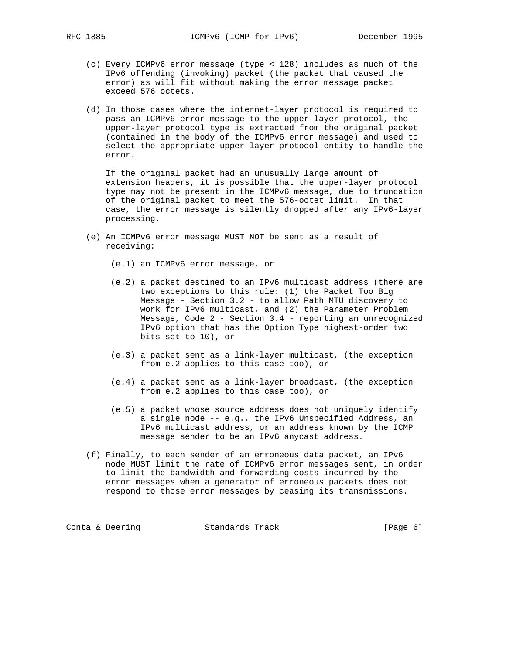- (c) Every ICMPv6 error message (type < 128) includes as much of the IPv6 offending (invoking) packet (the packet that caused the error) as will fit without making the error message packet exceed 576 octets.
- (d) In those cases where the internet-layer protocol is required to pass an ICMPv6 error message to the upper-layer protocol, the upper-layer protocol type is extracted from the original packet (contained in the body of the ICMPv6 error message) and used to select the appropriate upper-layer protocol entity to handle the error.

 If the original packet had an unusually large amount of extension headers, it is possible that the upper-layer protocol type may not be present in the ICMPv6 message, due to truncation of the original packet to meet the 576-octet limit. In that case, the error message is silently dropped after any IPv6-layer processing.

 (e) An ICMPv6 error message MUST NOT be sent as a result of receiving:

(e.1) an ICMPv6 error message, or

- (e.2) a packet destined to an IPv6 multicast address (there are two exceptions to this rule: (1) the Packet Too Big Message - Section 3.2 - to allow Path MTU discovery to work for IPv6 multicast, and (2) the Parameter Problem Message, Code 2 - Section 3.4 - reporting an unrecognized IPv6 option that has the Option Type highest-order two bits set to 10), or
- (e.3) a packet sent as a link-layer multicast, (the exception from e.2 applies to this case too), or
- (e.4) a packet sent as a link-layer broadcast, (the exception from e.2 applies to this case too), or
- (e.5) a packet whose source address does not uniquely identify a single node -- e.g., the IPv6 Unspecified Address, an IPv6 multicast address, or an address known by the ICMP message sender to be an IPv6 anycast address.
- (f) Finally, to each sender of an erroneous data packet, an IPv6 node MUST limit the rate of ICMPv6 error messages sent, in order to limit the bandwidth and forwarding costs incurred by the error messages when a generator of erroneous packets does not respond to those error messages by ceasing its transmissions.

Conta & Deering **Standards Track** [Page 6]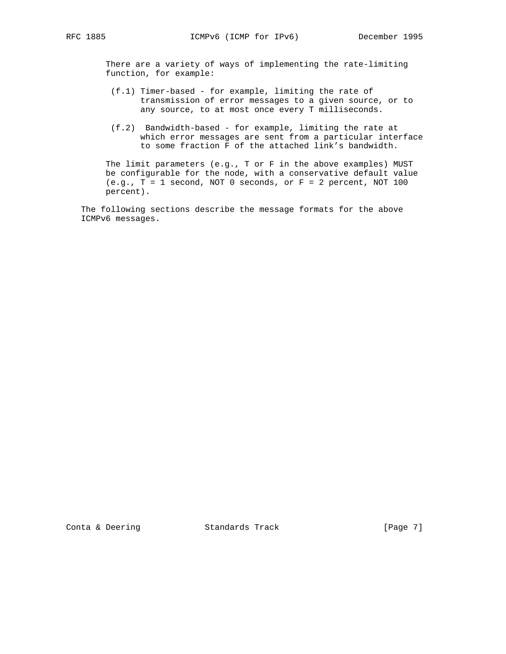There are a variety of ways of implementing the rate-limiting function, for example:

- (f.1) Timer-based for example, limiting the rate of transmission of error messages to a given source, or to any source, to at most once every T milliseconds.
- (f.2) Bandwidth-based for example, limiting the rate at which error messages are sent from a particular interface to some fraction F of the attached link's bandwidth.

 The limit parameters (e.g., T or F in the above examples) MUST be configurable for the node, with a conservative default value  $(e.g., T = 1 second, NOT 0 seconds, or F = 2 percent, NOT 100$ percent).

 The following sections describe the message formats for the above ICMPv6 messages.

Conta & Deering **Standards Track** [Page 7]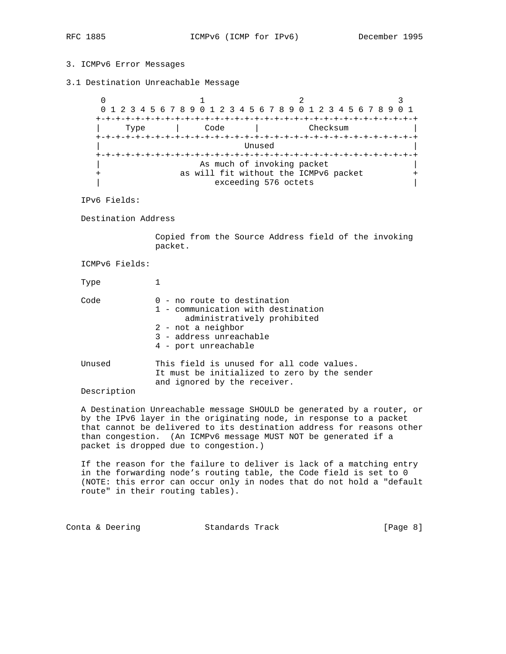## 3. ICMPv6 Error Messages

3.1 Destination Unreachable Message

 $0$  1 2 3 0 1 2 3 4 5 6 7 8 9 0 1 2 3 4 5 6 7 8 9 0 1 2 3 4 5 6 7 8 9 0 1 +-+-+-+-+-+-+-+-+-+-+-+-+-+-+-+-+-+-+-+-+-+-+-+-+-+-+-+-+-+-+-+-+ Type | Code | Checksum +-+-+-+-+-+-+-+-+-+-+-+-+-+-+-+-+-+-+-+-+-+-+-+-+-+-+-+-+-+-+-+-+ | Unused | +-+-+-+-+-+-+-+-+-+-+-+-+-+-+-+-+-+-+-+-+-+-+-+-+-+-+-+-+-+-+-+-+ | As much of invoking packet | | + as will fit without the ICMPv6 packet + exceeding 576 octets |

IPv6 Fields:

Destination Address

 Copied from the Source Address field of the invoking packet.

ICMPv6 Fields:

Type 1 Code 0 - no route to destination 1 - communication with destination administratively prohibited 2 - not a neighbor 3 - address unreachable

 4 - port unreachable Unused This field is unused for all code values. It must be initialized to zero by the sender and ignored by the receiver.

#### Description

 A Destination Unreachable message SHOULD be generated by a router, or by the IPv6 layer in the originating node, in response to a packet that cannot be delivered to its destination address for reasons other than congestion. (An ICMPv6 message MUST NOT be generated if a packet is dropped due to congestion.)

 If the reason for the failure to deliver is lack of a matching entry in the forwarding node's routing table, the Code field is set to 0 (NOTE: this error can occur only in nodes that do not hold a "default route" in their routing tables).

Conta & Deering **Standards Track** [Page 8]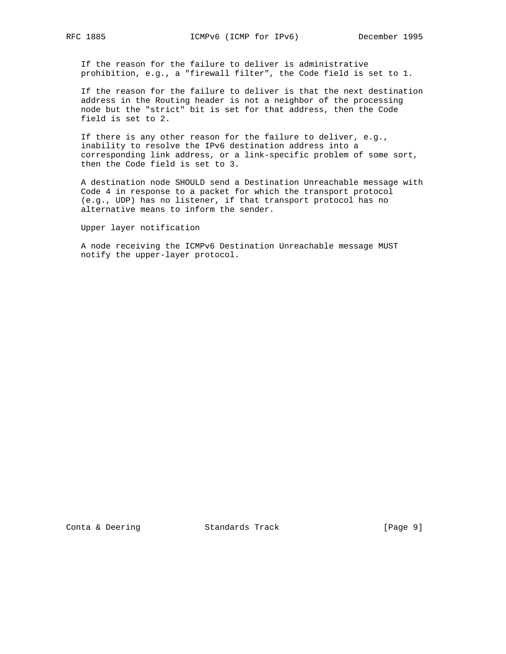If the reason for the failure to deliver is administrative prohibition, e.g., a "firewall filter", the Code field is set to 1.

 If the reason for the failure to deliver is that the next destination address in the Routing header is not a neighbor of the processing node but the "strict" bit is set for that address, then the Code field is set to 2.

 If there is any other reason for the failure to deliver, e.g., inability to resolve the IPv6 destination address into a corresponding link address, or a link-specific problem of some sort, then the Code field is set to 3.

 A destination node SHOULD send a Destination Unreachable message with Code 4 in response to a packet for which the transport protocol (e.g., UDP) has no listener, if that transport protocol has no alternative means to inform the sender.

Upper layer notification

 A node receiving the ICMPv6 Destination Unreachable message MUST notify the upper-layer protocol.

Conta & Deering Standards Track [Page 9]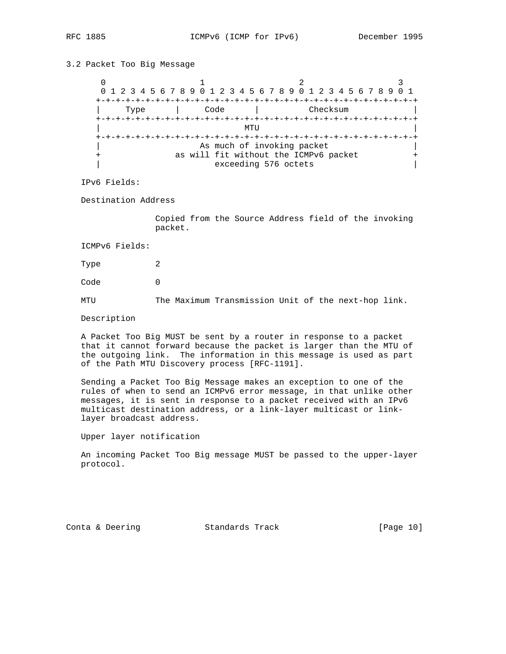# 3.2 Packet Too Big Message

0  $1$  2 3 0 1 2 3 4 5 6 7 8 9 0 1 2 3 4 5 6 7 8 9 0 1 2 3 4 5 6 7 8 9 0 1 +-+-+-+-+-+-+-+-+-+-+-+-+-+-+-+-+-+-+-+-+-+-+-+-+-+-+-+-+-+-+-+-+ | Type | Code | Checksum | +-+-+-+-+-+-+-+-+-+-+-+-+-+-+-+-+-+-+-+-+-+-+-+-+-+-+-+-+-+-+-+-+  $\blacksquare$  +-+-+-+-+-+-+-+-+-+-+-+-+-+-+-+-+-+-+-+-+-+-+-+-+-+-+-+-+-+-+-+-+ As much of invoking packet + as will fit without the ICMPv6 packet + | exceeding 576 octets |

IPv6 Fields:

Destination Address

 Copied from the Source Address field of the invoking packet.

ICMPv6 Fields:

Type 2

Code 0

MTU The Maximum Transmission Unit of the next-hop link.

Description

 A Packet Too Big MUST be sent by a router in response to a packet that it cannot forward because the packet is larger than the MTU of the outgoing link. The information in this message is used as part of the Path MTU Discovery process [RFC-1191].

 Sending a Packet Too Big Message makes an exception to one of the rules of when to send an ICMPv6 error message, in that unlike other messages, it is sent in response to a packet received with an IPv6 multicast destination address, or a link-layer multicast or link layer broadcast address.

Upper layer notification

 An incoming Packet Too Big message MUST be passed to the upper-layer protocol.

Conta & Deering Standards Track [Page 10]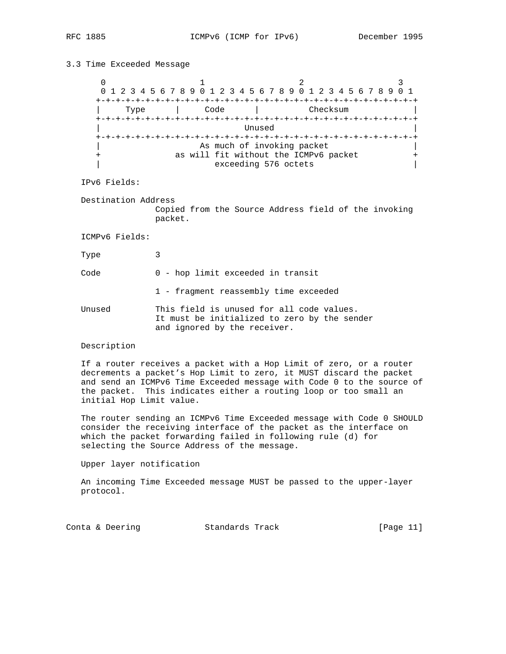# 3.3 Time Exceeded Message 0  $1$  2 3 0 1 2 3 4 5 6 7 8 9 0 1 2 3 4 5 6 7 8 9 0 1 2 3 4 5 6 7 8 9 0 1 +-+-+-+-+-+-+-+-+-+-+-+-+-+-+-+-+-+-+-+-+-+-+-+-+-+-+-+-+-+-+-+-+ | Type | Code | Checksum | +-+-+-+-+-+-+-+-+-+-+-+-+-+-+-+-+-+-+-+-+-+-+-+-+-+-+-+-+-+-+-+-+ | Unused | +-+-+-+-+-+-+-+-+-+-+-+-+-+-+-+-+-+-+-+-+-+-+-+-+-+-+-+-+-+-+-+-+ As much of invoking packet as will fit without the ICMPv6 packet +<br>| exceeding 576 octets exceeding 576 octets

IPv6 Fields:

 Destination Address Copied from the Source Address field of the invoking packet.

ICMPv6 Fields:

Type 3

Code 0 - hop limit exceeded in transit

1 - fragment reassembly time exceeded

Unused This field is unused for all code values. It must be initialized to zero by the sender and ignored by the receiver.

#### Description

 If a router receives a packet with a Hop Limit of zero, or a router decrements a packet's Hop Limit to zero, it MUST discard the packet and send an ICMPv6 Time Exceeded message with Code 0 to the source of the packet. This indicates either a routing loop or too small an initial Hop Limit value.

 The router sending an ICMPv6 Time Exceeded message with Code 0 SHOULD consider the receiving interface of the packet as the interface on which the packet forwarding failed in following rule (d) for selecting the Source Address of the message.

Upper layer notification

 An incoming Time Exceeded message MUST be passed to the upper-layer protocol.

| Conta & Deering | Standards Track | [Page 11] |
|-----------------|-----------------|-----------|
|-----------------|-----------------|-----------|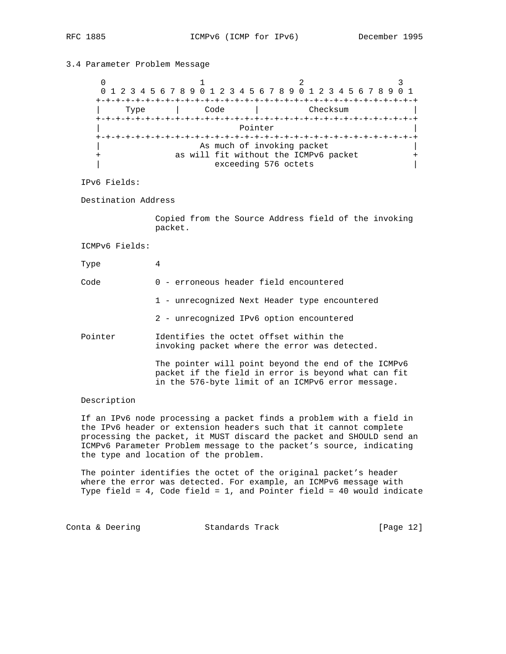# 3.4 Parameter Problem Message

 $\begin{array}{ccccccc}\n0 & & & 1 & & & 2 & & 3\n\end{array}$  0 1 2 3 4 5 6 7 8 9 0 1 2 3 4 5 6 7 8 9 0 1 2 3 4 5 6 7 8 9 0 1 +-+-+-+-+-+-+-+-+-+-+-+-+-+-+-+-+-+-+-+-+-+-+-+-+-+-+-+-+-+-+-+-+ | Type | Code | Checksum | +-+-+-+-+-+-+-+-+-+-+-+-+-+-+-+-+-+-+-+-+-+-+-+-+-+-+-+-+-+-+-+-+ Pointer +-+-+-+-+-+-+-+-+-+-+-+-+-+-+-+-+-+-+-+-+-+-+-+-+-+-+-+-+-+-+-+-+ As much of invoking packet + as will fit without the ICMPv6 packet + | exceeding 576 octets |

- IPv6 Fields:
- Destination Address

 Copied from the Source Address field of the invoking packet.

- ICMPv6 Fields:
- Type 4
- Code 0 erroneous header field encountered
	- 1 unrecognized Next Header type encountered
	- 2 unrecognized IPv6 option encountered
- Pointer Identifies the octet offset within the invoking packet where the error was detected.

 The pointer will point beyond the end of the ICMPv6 packet if the field in error is beyond what can fit in the 576-byte limit of an ICMPv6 error message.

#### Description

 If an IPv6 node processing a packet finds a problem with a field in the IPv6 header or extension headers such that it cannot complete processing the packet, it MUST discard the packet and SHOULD send an ICMPv6 Parameter Problem message to the packet's source, indicating the type and location of the problem.

 The pointer identifies the octet of the original packet's header where the error was detected. For example, an ICMPv6 message with Type field = 4, Code field = 1, and Pointer field = 40 would indicate

Conta & Deering **Standards Track** [Page 12]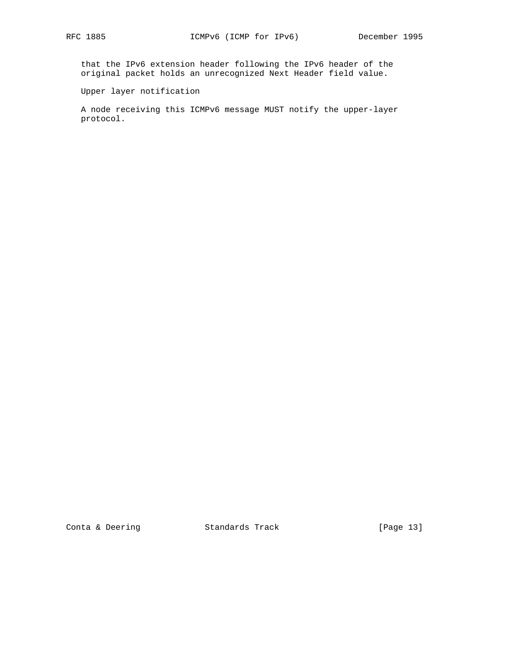that the IPv6 extension header following the IPv6 header of the original packet holds an unrecognized Next Header field value.

Upper layer notification

 A node receiving this ICMPv6 message MUST notify the upper-layer protocol.

Conta & Deering **Standards Track** [Page 13]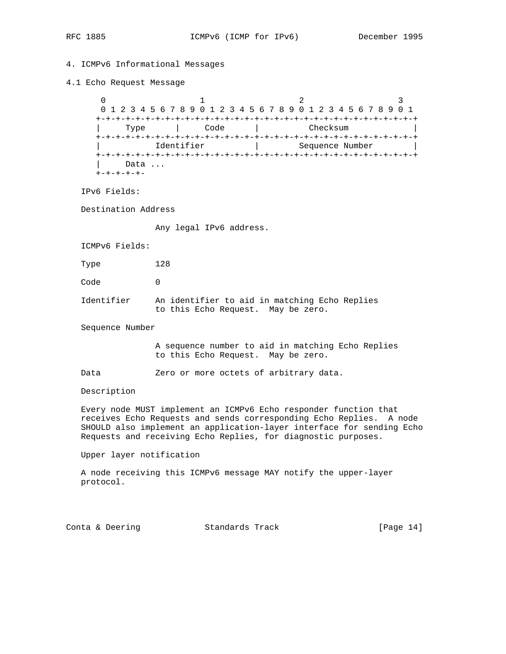# 4. ICMPv6 Informational Messages

#### 4.1 Echo Request Message

 $0$  1 2 3 0 1 2 3 4 5 6 7 8 9 0 1 2 3 4 5 6 7 8 9 0 1 2 3 4 5 6 7 8 9 0 1 +-+-+-+-+-+-+-+-+-+-+-+-+-+-+-+-+-+-+-+-+-+-+-+-+-+-+-+-+-+-+-+-+ | Type | Code | Checksum | +-+-+-+-+-+-+-+-+-+-+-+-+-+-+-+-+-+-+-+-+-+-+-+-+-+-+-+-+-+-+-+-+ | Identifier | Sequence Number | +-+-+-+-+-+-+-+-+-+-+-+-+-+-+-+-+-+-+-+-+-+-+-+-+-+-+-+-+-+-+-+-+ Data ... +-+-+-+-+-

IPv6 Fields:

Destination Address

Any legal IPv6 address.

ICMPv6 Fields:

Type 128

Code 0

 Identifier An identifier to aid in matching Echo Replies to this Echo Request. May be zero.

Sequence Number

 A sequence number to aid in matching Echo Replies to this Echo Request. May be zero.

Data **Zero or more octets of arbitrary data.** 

Description

 Every node MUST implement an ICMPv6 Echo responder function that receives Echo Requests and sends corresponding Echo Replies. A node SHOULD also implement an application-layer interface for sending Echo Requests and receiving Echo Replies, for diagnostic purposes.

Upper layer notification

 A node receiving this ICMPv6 message MAY notify the upper-layer protocol.

Conta & Deering Standards Track [Page 14]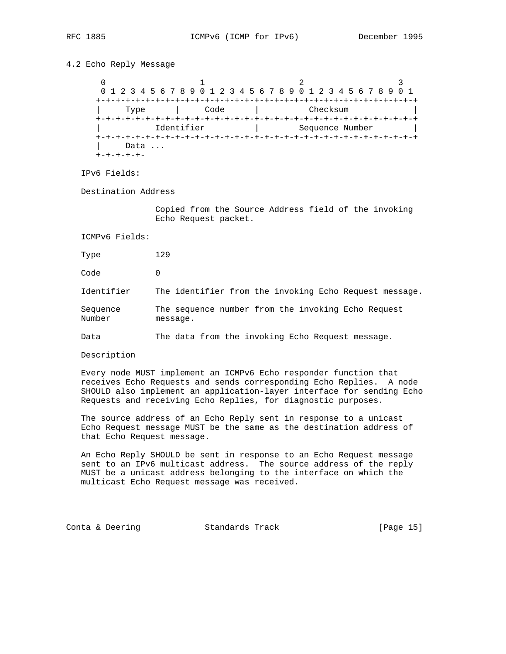## 4.2 Echo Reply Message

0  $1$  2 3 0 1 2 3 4 5 6 7 8 9 0 1 2 3 4 5 6 7 8 9 0 1 2 3 4 5 6 7 8 9 0 1 +-+-+-+-+-+-+-+-+-+-+-+-+-+-+-+-+-+-+-+-+-+-+-+-+-+-+-+-+-+-+-+-+ | Type | Code | Checksum | +-+-+-+-+-+-+-+-+-+-+-+-+-+-+-+-+-+-+-+-+-+-+-+-+-+-+-+-+-+-+-+-+ Identifier | Sequence Number +-+-+-+-+-+-+-+-+-+-+-+-+-+-+-+-+-+-+-+-+-+-+-+-+-+-+-+-+-+-+-+-+ Data ... +-+-+-+-+-

IPv6 Fields:

Destination Address

 Copied from the Source Address field of the invoking Echo Request packet.

ICMPv6 Fields:

Type 129

Code 0

Identifier The identifier from the invoking Echo Request message.

Sequence The sequence number from the invoking Echo Request Number message.

Data The data from the invoking Echo Request message.

Description

 Every node MUST implement an ICMPv6 Echo responder function that receives Echo Requests and sends corresponding Echo Replies. A node SHOULD also implement an application-layer interface for sending Echo Requests and receiving Echo Replies, for diagnostic purposes.

 The source address of an Echo Reply sent in response to a unicast Echo Request message MUST be the same as the destination address of that Echo Request message.

 An Echo Reply SHOULD be sent in response to an Echo Request message sent to an IPv6 multicast address. The source address of the reply MUST be a unicast address belonging to the interface on which the multicast Echo Request message was received.

Conta & Deering Standards Track [Page 15]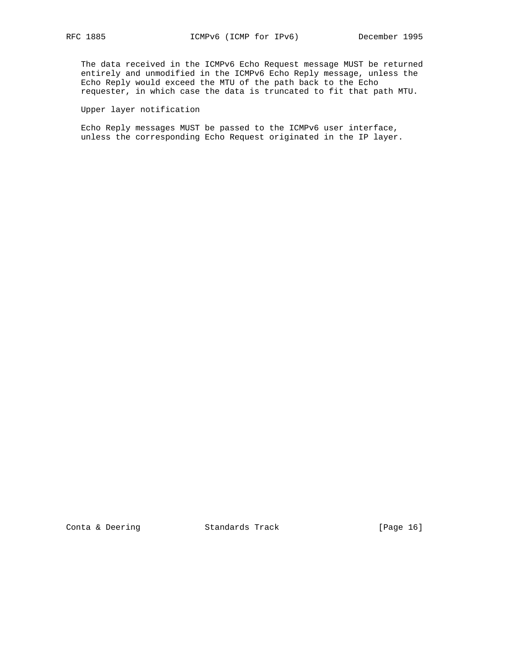The data received in the ICMPv6 Echo Request message MUST be returned entirely and unmodified in the ICMPv6 Echo Reply message, unless the Echo Reply would exceed the MTU of the path back to the Echo requester, in which case the data is truncated to fit that path MTU.

# Upper layer notification

 Echo Reply messages MUST be passed to the ICMPv6 user interface, unless the corresponding Echo Request originated in the IP layer.

Conta & Deering Standards Track [Page 16]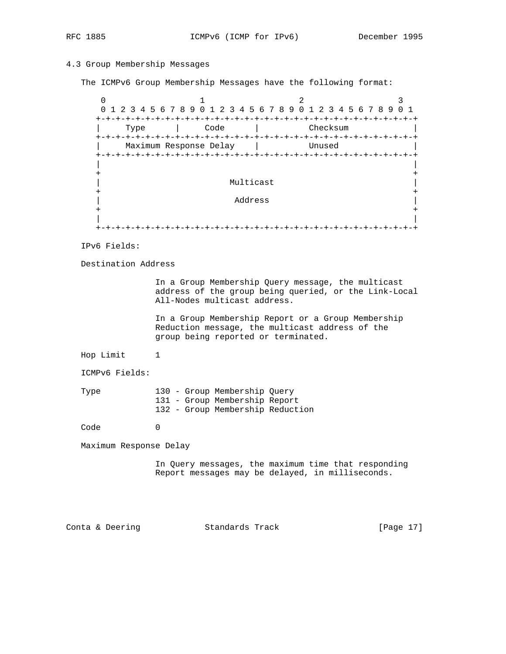## 4.3 Group Membership Messages

The ICMPv6 Group Membership Messages have the following format:

 $0$  1 2 3 0 1 2 3 4 5 6 7 8 9 0 1 2 3 4 5 6 7 8 9 0 1 2 3 4 5 6 7 8 9 0 1 +-+-+-+-+-+-+-+-+-+-+-+-+-+-+-+-+-+-+-+-+-+-+-+-+-+-+-+-+-+-+-+-+ | Type | Code | Checksum | +-+-+-+-+-+-+-+-+-+-+-+-+-+-+-+-+-+-+-+-+-+-+-+-+-+-+-+-+-+-+-+-+ | Maximum Response Delay | Unused | +-+-+-+-+-+-+-+-+-+-+-+-+-+-+-+-+-+-+-+-+-+-+-+-+-+-+-+-+-+-+-+-+ | | + + Multicast + + | Address | + + | | +-+-+-+-+-+-+-+-+-+-+-+-+-+-+-+-+-+-+-+-+-+-+-+-+-+-+-+-+-+-+-+-+

IPv6 Fields:

Destination Address

 In a Group Membership Query message, the multicast address of the group being queried, or the Link-Local All-Nodes multicast address.

 In a Group Membership Report or a Group Membership Reduction message, the multicast address of the group being reported or terminated.

Hop Limit 1

ICMPv6 Fields:

| Type |  | 130 - Group Membership Ouery     |  |
|------|--|----------------------------------|--|
|      |  | 131 - Group Membership Report    |  |
|      |  | 132 - Group Membership Reduction |  |

Code 0

Maximum Response Delay

 In Query messages, the maximum time that responding Report messages may be delayed, in milliseconds.

Conta & Deering Standards Track [Page 17]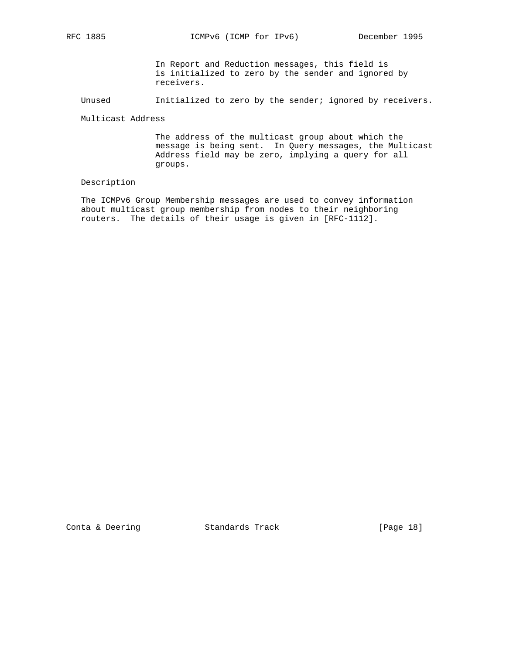RFC 1885 ICMPv6 (ICMP for IPv6) December 1995

 In Report and Reduction messages, this field is is initialized to zero by the sender and ignored by receivers.

Unused Initialized to zero by the sender; ignored by receivers.

Multicast Address

 The address of the multicast group about which the message is being sent. In Query messages, the Multicast Address field may be zero, implying a query for all groups.

### Description

 The ICMPv6 Group Membership messages are used to convey information about multicast group membership from nodes to their neighboring routers. The details of their usage is given in [RFC-1112].

Conta & Deering Standards Track [Page 18]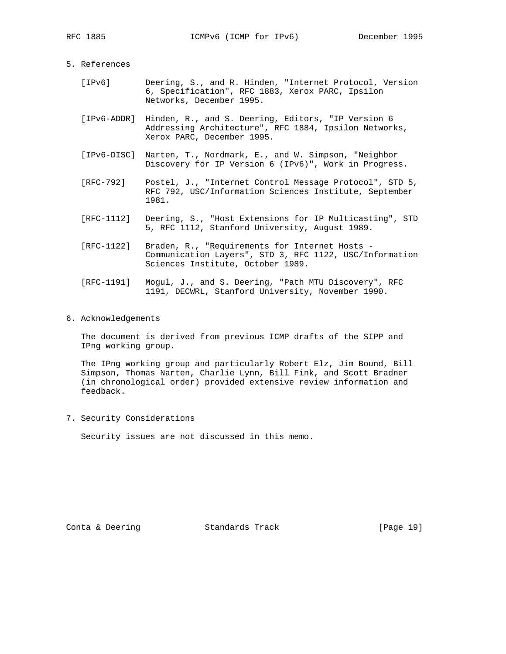### 5. References

- [IPv6] Deering, S., and R. Hinden, "Internet Protocol, Version 6, Specification", RFC 1883, Xerox PARC, Ipsilon Networks, December 1995.
	- [IPv6-ADDR] Hinden, R., and S. Deering, Editors, "IP Version 6 Addressing Architecture", RFC 1884, Ipsilon Networks, Xerox PARC, December 1995.
	- [IPv6-DISC] Narten, T., Nordmark, E., and W. Simpson, "Neighbor Discovery for IP Version 6 (IPv6)", Work in Progress.
	- [RFC-792] Postel, J., "Internet Control Message Protocol", STD 5, RFC 792, USC/Information Sciences Institute, September 1981.
	- [RFC-1112] Deering, S., "Host Extensions for IP Multicasting", STD 5, RFC 1112, Stanford University, August 1989.
	- [RFC-1122] Braden, R., "Requirements for Internet Hosts Communication Layers", STD 3, RFC 1122, USC/Information Sciences Institute, October 1989.
	- [RFC-1191] Mogul, J., and S. Deering, "Path MTU Discovery", RFC 1191, DECWRL, Stanford University, November 1990.
- 6. Acknowledgements

 The document is derived from previous ICMP drafts of the SIPP and IPng working group.

 The IPng working group and particularly Robert Elz, Jim Bound, Bill Simpson, Thomas Narten, Charlie Lynn, Bill Fink, and Scott Bradner (in chronological order) provided extensive review information and feedback.

7. Security Considerations

Security issues are not discussed in this memo.

Conta & Deering Standards Track [Page 19]